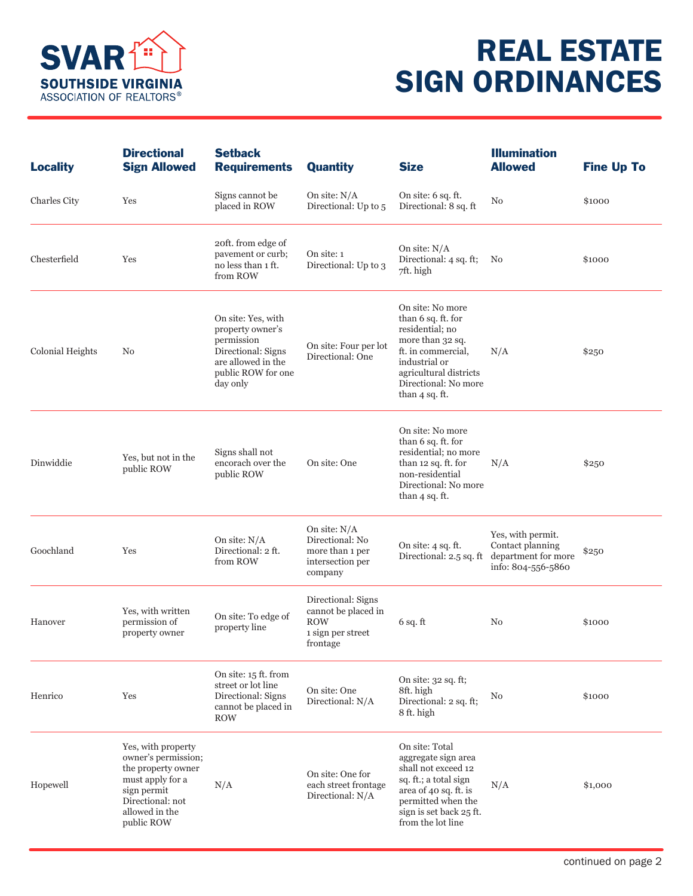

## REAL ESTATE SIGN ORDINANCES

| <b>Locality</b>     | <b>Directional</b><br><b>Sign Allowed</b>                                                                                                              | <b>Setback</b><br><b>Requirements</b>                                                                                              | <b>Quantity</b>                                                                          | <b>Size</b>                                                                                                                                                                              | <b>Illumination</b><br><b>Allowed</b>                                              | <b>Fine Up To</b> |
|---------------------|--------------------------------------------------------------------------------------------------------------------------------------------------------|------------------------------------------------------------------------------------------------------------------------------------|------------------------------------------------------------------------------------------|------------------------------------------------------------------------------------------------------------------------------------------------------------------------------------------|------------------------------------------------------------------------------------|-------------------|
| <b>Charles City</b> | Yes                                                                                                                                                    | Signs cannot be<br>placed in ROW                                                                                                   | On site: $N/A$<br>Directional: Up to 5                                                   | On site: 6 sq. ft.<br>Directional: 8 sq. ft                                                                                                                                              | No                                                                                 | \$1000            |
| Chesterfield        | Yes                                                                                                                                                    | 20ft. from edge of<br>pavement or curb;<br>no less than 1 ft.<br>from ROW                                                          | On site: 1<br>Directional: Up to 3                                                       | On site: N/A<br>Directional: 4 sq. ft;<br>7ft. high                                                                                                                                      | No                                                                                 | \$1000            |
| Colonial Heights    | N <sub>0</sub>                                                                                                                                         | On site: Yes, with<br>property owner's<br>permission<br>Directional: Signs<br>are allowed in the<br>public ROW for one<br>day only | On site: Four per lot<br>Directional: One                                                | On site: No more<br>than 6 sq. ft. for<br>residential; no<br>more than 32 sq.<br>ft. in commercial,<br>industrial or<br>agricultural districts<br>Directional: No more<br>than 4 sq. ft. | N/A                                                                                | \$250             |
| Dinwiddie           | Yes, but not in the<br>public ROW                                                                                                                      | Signs shall not<br>encorach over the<br>public ROW                                                                                 | On site: One                                                                             | On site: No more<br>than 6 sq. ft. for<br>residential; no more<br>than 12 sq. ft. for<br>non-residential<br>Directional: No more<br>than $4$ sq. ft.                                     | N/A                                                                                | \$250             |
| Goochland           | Yes                                                                                                                                                    | On site: N/A<br>Directional: 2 ft.<br>from ROW                                                                                     | On site: N/A<br>Directional: No<br>more than 1 per<br>intersection per<br>company        | On site: $4$ sq. ft.<br>Directional: 2.5 sq. ft                                                                                                                                          | Yes, with permit.<br>Contact planning<br>department for more<br>info: 804-556-5860 | \$250             |
| Hanover             | Yes, with written<br>permission of<br>property owner                                                                                                   | On site: To edge of<br>property line                                                                                               | Directional: Signs<br>cannot be placed in<br><b>ROW</b><br>1 sign per street<br>frontage | $6$ sq. ft                                                                                                                                                                               | No                                                                                 | \$1000            |
| Henrico             | Yes                                                                                                                                                    | On site: 15 ft. from<br>street or lot line<br>Directional: Signs<br>cannot be placed in<br><b>ROW</b>                              | On site: One<br>Directional: N/A                                                         | On site: 32 sq. ft;<br>8ft. high<br>Directional: 2 sq. ft;<br>8 ft. high                                                                                                                 | No                                                                                 | \$1000            |
| Hopewell            | Yes, with property<br>owner's permission;<br>the property owner<br>must apply for a<br>sign permit<br>Directional: not<br>allowed in the<br>public ROW | N/A                                                                                                                                | On site: One for<br>each street frontage<br>Directional: N/A                             | On site: Total<br>aggregate sign area<br>shall not exceed 12<br>sq. ft.; a total sign<br>area of 40 sq. ft. is<br>permitted when the<br>sign is set back 25 ft.<br>from the lot line     | N/A                                                                                | \$1,000           |